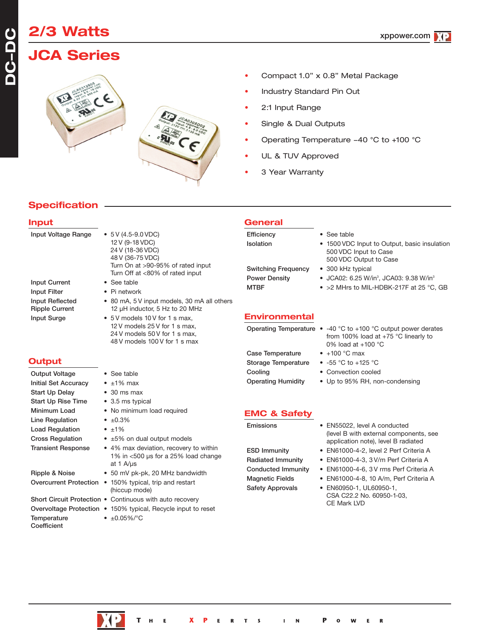# **2/3 Watts**

## **JCA Series**



- Industry Standard Pin Out 2:1 Input Range
	- Single & Dual Outputs
	- Operating Temperature -40 °C to +100 °C

• Compact 1.0" x 0.8" Metal Package

- UL & TUV Approved
- 3 Year Warranty

**General**

## **Specification**

### **Input**

**DC-DC**

| $\bullet$ 5 V (4.5-9.0 VDC)<br>12 V (9-18 VDC)<br>24 V (18-36 VDC)<br>48 V (36-75 VDC)<br>Turn On at >90-95% of rated input<br>Turn Off at <80% of rated input | Efficiency<br>Isolation<br><b>Switching Frequency</b><br><b>Power Density</b>                                                                                                                                                                                                                                    | • See table<br>• 1500 VDC Input to Output, basic insulation<br>500 VDC Input to Case<br>500 VDC Output to Case<br>• 300 kHz typical<br>• JCA02: 6.25 W/in <sup>3</sup> , JCA03: 9.38 W/in <sup>3</sup> |
|----------------------------------------------------------------------------------------------------------------------------------------------------------------|------------------------------------------------------------------------------------------------------------------------------------------------------------------------------------------------------------------------------------------------------------------------------------------------------------------|--------------------------------------------------------------------------------------------------------------------------------------------------------------------------------------------------------|
| $\bullet$ Pi network                                                                                                                                           |                                                                                                                                                                                                                                                                                                                  | • > 2 MHrs to MIL-HDBK-217F at 25 °C, GB                                                                                                                                                               |
| • 80 mA, 5 V input models, 30 mA all others<br>12 µH inductor, 5 Hz to 20 MHz                                                                                  |                                                                                                                                                                                                                                                                                                                  |                                                                                                                                                                                                        |
|                                                                                                                                                                |                                                                                                                                                                                                                                                                                                                  |                                                                                                                                                                                                        |
| 24 V models 50 V for 1 s max.<br>48 V models 100 V for 1 s max                                                                                                 |                                                                                                                                                                                                                                                                                                                  | Operating Temperature $\bullet$ -40 °C to +100 °C output power derates<br>from 100% load at $+75$ °C linearly to<br>0% load at $+100$ °C                                                               |
|                                                                                                                                                                | <b>Case Temperature</b>                                                                                                                                                                                                                                                                                          | $\bullet$ +100 °C max                                                                                                                                                                                  |
|                                                                                                                                                                | <b>Storage Temperature</b>                                                                                                                                                                                                                                                                                       | • $-55$ °C to $+125$ °C                                                                                                                                                                                |
| • See table                                                                                                                                                    | Cooling                                                                                                                                                                                                                                                                                                          | • Convection cooled                                                                                                                                                                                    |
| $\bullet$ ±1% max                                                                                                                                              | <b>Operating Humidity</b>                                                                                                                                                                                                                                                                                        | • Up to 95% RH, non-condensing                                                                                                                                                                         |
| $\bullet$ 30 ms max                                                                                                                                            |                                                                                                                                                                                                                                                                                                                  |                                                                                                                                                                                                        |
| • 3.5 ms typical                                                                                                                                               |                                                                                                                                                                                                                                                                                                                  |                                                                                                                                                                                                        |
| • No minimum load required                                                                                                                                     |                                                                                                                                                                                                                                                                                                                  |                                                                                                                                                                                                        |
| $\bullet$ $\pm 0.3\%$                                                                                                                                          |                                                                                                                                                                                                                                                                                                                  | • EN55022, level A conducted                                                                                                                                                                           |
| $\bullet$ $\pm 1\%$                                                                                                                                            |                                                                                                                                                                                                                                                                                                                  | (level B with external components, see                                                                                                                                                                 |
| $\bullet$ ±5% on dual output models                                                                                                                            |                                                                                                                                                                                                                                                                                                                  | application note), level B radiated                                                                                                                                                                    |
| 1% in <500 µs for a 25% load change<br>at 1 $A/\mu s$                                                                                                          | <b>ESD Immunity</b><br><b>Radiated Immunity</b>                                                                                                                                                                                                                                                                  | • EN61000-4-2, level 2 Perf Criteria A<br>· EN61000-4-3, 3 V/m Perf Criteria A                                                                                                                         |
| • 50 mV pk-pk, 20 MHz bandwidth                                                                                                                                |                                                                                                                                                                                                                                                                                                                  | • EN61000-4-6, 3 V rms Perf Criteria A                                                                                                                                                                 |
| (hiccup mode)                                                                                                                                                  | <b>Safety Approvals</b>                                                                                                                                                                                                                                                                                          | • EN61000-4-8, 10 A/m, Perf Criteria A<br>• EN60950-1, UL60950-1,<br>CSA C22.2 No. 60950-1-03,                                                                                                         |
|                                                                                                                                                                |                                                                                                                                                                                                                                                                                                                  | CE Mark LVD                                                                                                                                                                                            |
|                                                                                                                                                                |                                                                                                                                                                                                                                                                                                                  |                                                                                                                                                                                                        |
| $\cdot$ ±0.05%/°C                                                                                                                                              |                                                                                                                                                                                                                                                                                                                  |                                                                                                                                                                                                        |
|                                                                                                                                                                | • See table<br>• 5 V models 10 V for 1 s max.<br>12 V models 25 V for 1 s max.<br>• 4% max deviation, recovery to within<br>Overcurrent Protection • 150% typical, trip and restart<br>Short Circuit Protection . Continuous with auto recovery<br>Overvoltage Protection • 150% typical, Recycle input to reset | <b>MTBF</b><br><b>Environmental</b><br><b>EMC &amp; Safety</b><br>Emissions<br><b>Conducted Immunity</b><br><b>Magnetic Fields</b>                                                                     |